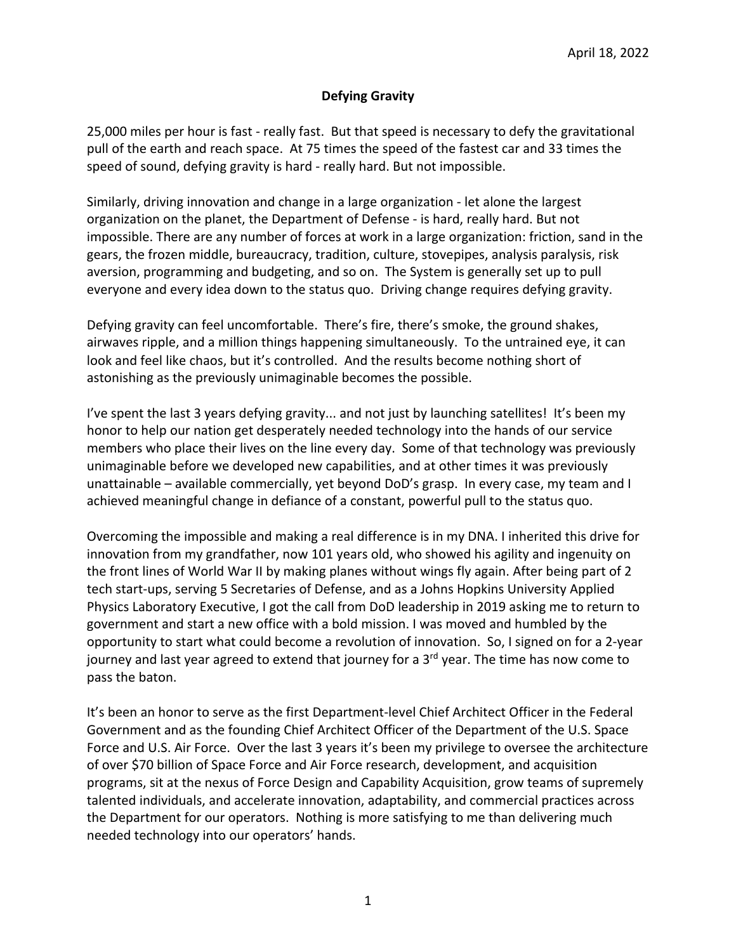### **Defying Gravity**

25,000 miles per hour is fast - really fast. But that speed is necessary to defy the gravitational pull of the earth and reach space. At 75 times the speed of the fastest car and 33 times the speed of sound, defying gravity is hard - really hard. But not impossible.

Similarly, driving innovation and change in a large organization - let alone the largest organization on the planet, the Department of Defense - is hard, really hard. But not impossible. There are any number of forces at work in a large organization: friction, sand in the gears, the frozen middle, bureaucracy, tradition, culture, stovepipes, analysis paralysis, risk aversion, programming and budgeting, and so on. The System is generally set up to pull everyone and every idea down to the status quo. Driving change requires defying gravity.

Defying gravity can feel uncomfortable. There's fire, there's smoke, the ground shakes, airwaves ripple, and a million things happening simultaneously. To the untrained eye, it can look and feel like chaos, but it's controlled. And the results become nothing short of astonishing as the previously unimaginable becomes the possible.

I've spent the last 3 years defying gravity... and not just by launching satellites! It's been my honor to help our nation get desperately needed technology into the hands of our service members who place their lives on the line every day. Some of that technology was previously unimaginable before we developed new capabilities, and at other times it was previously unattainable – available commercially, yet beyond DoD's grasp. In every case, my team and I achieved meaningful change in defiance of a constant, powerful pull to the status quo.

Overcoming the impossible and making a real difference is in my DNA. I inherited this drive for innovation from my grandfather, now 101 years old, who showed his agility and ingenuity on the front lines of World War II by making planes without wings fly again. After being part of 2 tech start-ups, serving 5 Secretaries of Defense, and as a Johns Hopkins University Applied Physics Laboratory Executive, I got the call from DoD leadership in 2019 asking me to return to government and start a new office with a bold mission. I was moved and humbled by the opportunity to start what could become a revolution of innovation. So, I signed on for a 2-year journey and last year agreed to extend that journey for a  $3<sup>rd</sup>$  year. The time has now come to pass the baton.

It's been an honor to serve as the first Department-level Chief Architect Officer in the Federal Government and as the founding Chief Architect Officer of the Department of the U.S. Space Force and U.S. Air Force. Over the last 3 years it's been my privilege to oversee the architecture of over \$70 billion of Space Force and Air Force research, development, and acquisition programs, sit at the nexus of Force Design and Capability Acquisition, grow teams of supremely talented individuals, and accelerate innovation, adaptability, and commercial practices across the Department for our operators. Nothing is more satisfying to me than delivering much needed technology into our operators' hands.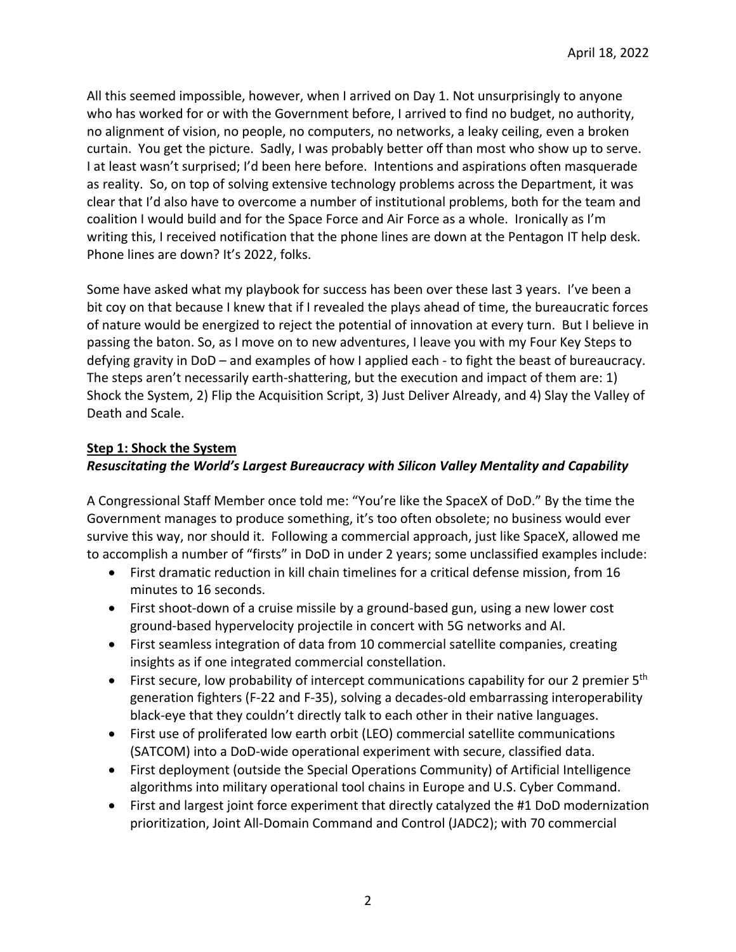All this seemed impossible, however, when I arrived on Day 1. Not unsurprisingly to anyone who has worked for or with the Government before, I arrived to find no budget, no authority, no alignment of vision, no people, no computers, no networks, a leaky ceiling, even a broken curtain. You get the picture. Sadly, I was probably better off than most who show up to serve. I at least wasn't surprised; I'd been here before. Intentions and aspirations often masquerade as reality. So, on top of solving extensive technology problems across the Department, it was clear that I'd also have to overcome a number of institutional problems, both for the team and coalition I would build and for the Space Force and Air Force as a whole. Ironically as I'm writing this, I received notification that the phone lines are down at the Pentagon IT help desk. Phone lines are down? It's 2022, folks.

Some have asked what my playbook for success has been over these last 3 years. I've been a bit coy on that because I knew that if I revealed the plays ahead of time, the bureaucratic forces of nature would be energized to reject the potential of innovation at every turn. But I believe in passing the baton. So, as I move on to new adventures, I leave you with my Four Key Steps to defying gravity in DoD – and examples of how I applied each - to fight the beast of bureaucracy. The steps aren't necessarily earth-shattering, but the execution and impact of them are: 1) Shock the System, 2) Flip the Acquisition Script, 3) Just Deliver Already, and 4) Slay the Valley of Death and Scale.

## **Step 1: Shock the System**

## *Resuscitating the World's Largest Bureaucracy with Silicon Valley Mentality and Capability*

A Congressional Staff Member once told me: "You're like the SpaceX of DoD." By the time the Government manages to produce something, it's too often obsolete; no business would ever survive this way, nor should it. Following a commercial approach, just like SpaceX, allowed me to accomplish a number of "firsts" in DoD in under 2 years; some unclassified examples include:

- First dramatic reduction in kill chain timelines for a critical defense mission, from 16 minutes to 16 seconds.
- First shoot-down of a cruise missile by a ground-based gun, using a new lower cost ground-based hypervelocity projectile in concert with 5G networks and AI.
- First seamless integration of data from 10 commercial satellite companies, creating insights as if one integrated commercial constellation.
- First secure, low probability of intercept communications capability for our 2 premier 5<sup>th</sup> generation fighters (F-22 and F-35), solving a decades-old embarrassing interoperability black-eye that they couldn't directly talk to each other in their native languages.
- First use of proliferated low earth orbit (LEO) commercial satellite communications (SATCOM) into a DoD-wide operational experiment with secure, classified data.
- First deployment (outside the Special Operations Community) of Artificial Intelligence algorithms into military operational tool chains in Europe and U.S. Cyber Command.
- First and largest joint force experiment that directly catalyzed the #1 DoD modernization prioritization, Joint All-Domain Command and Control (JADC2); with 70 commercial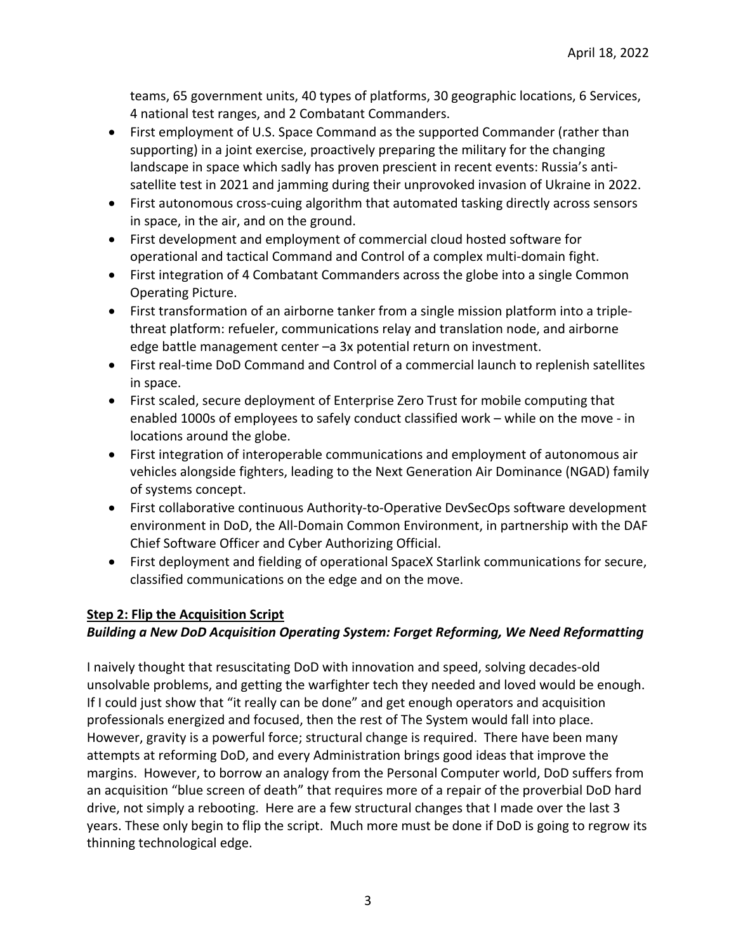teams, 65 government units, 40 types of platforms, 30 geographic locations, 6 Services, 4 national test ranges, and 2 Combatant Commanders.

- First employment of U.S. Space Command as the supported Commander (rather than supporting) in a joint exercise, proactively preparing the military for the changing landscape in space which sadly has proven prescient in recent events: Russia's antisatellite test in 2021 and jamming during their unprovoked invasion of Ukraine in 2022.
- First autonomous cross-cuing algorithm that automated tasking directly across sensors in space, in the air, and on the ground.
- First development and employment of commercial cloud hosted software for operational and tactical Command and Control of a complex multi-domain fight.
- First integration of 4 Combatant Commanders across the globe into a single Common Operating Picture.
- First transformation of an airborne tanker from a single mission platform into a triplethreat platform: refueler, communications relay and translation node, and airborne edge battle management center –a 3x potential return on investment.
- First real-time DoD Command and Control of a commercial launch to replenish satellites in space.
- First scaled, secure deployment of Enterprise Zero Trust for mobile computing that enabled 1000s of employees to safely conduct classified work – while on the move - in locations around the globe.
- First integration of interoperable communications and employment of autonomous air vehicles alongside fighters, leading to the Next Generation Air Dominance (NGAD) family of systems concept.
- First collaborative continuous Authority-to-Operative DevSecOps software development environment in DoD, the All-Domain Common Environment, in partnership with the DAF Chief Software Officer and Cyber Authorizing Official.
- First deployment and fielding of operational SpaceX Starlink communications for secure, classified communications on the edge and on the move.

## **Step 2: Flip the Acquisition Script**

# *Building a New DoD Acquisition Operating System: Forget Reforming, We Need Reformatting*

I naively thought that resuscitating DoD with innovation and speed, solving decades-old unsolvable problems, and getting the warfighter tech they needed and loved would be enough. If I could just show that "it really can be done" and get enough operators and acquisition professionals energized and focused, then the rest of The System would fall into place. However, gravity is a powerful force; structural change is required. There have been many attempts at reforming DoD, and every Administration brings good ideas that improve the margins. However, to borrow an analogy from the Personal Computer world, DoD suffers from an acquisition "blue screen of death" that requires more of a repair of the proverbial DoD hard drive, not simply a rebooting. Here are a few structural changes that I made over the last 3 years. These only begin to flip the script. Much more must be done if DoD is going to regrow its thinning technological edge.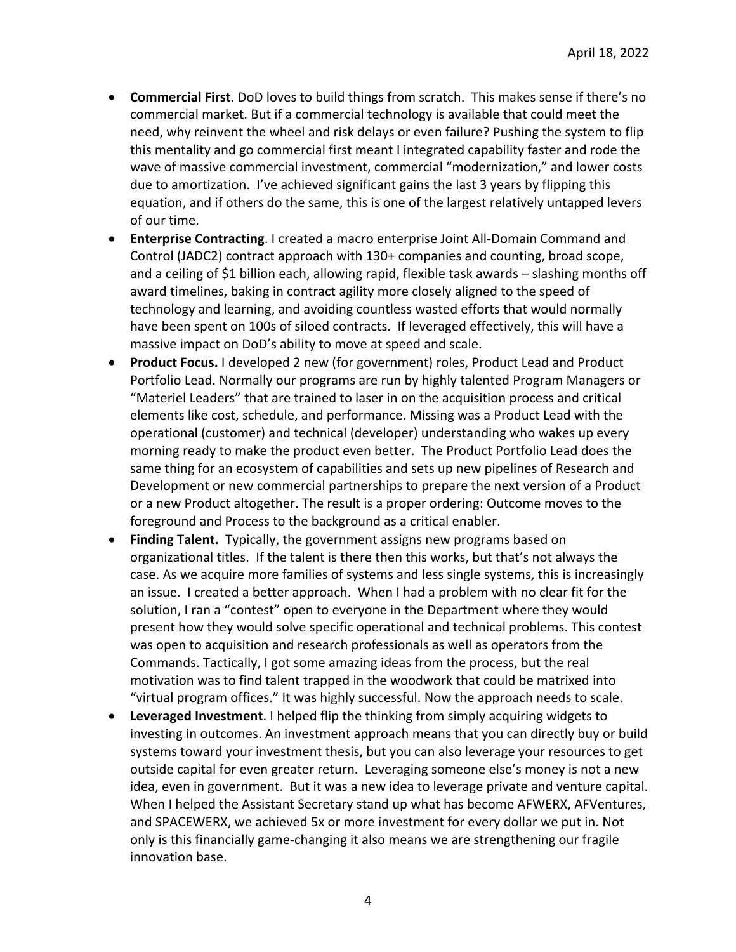- **Commercial First**. DoD loves to build things from scratch. This makes sense if there's no commercial market. But if a commercial technology is available that could meet the need, why reinvent the wheel and risk delays or even failure? Pushing the system to flip this mentality and go commercial first meant I integrated capability faster and rode the wave of massive commercial investment, commercial "modernization," and lower costs due to amortization. I've achieved significant gains the last 3 years by flipping this equation, and if others do the same, this is one of the largest relatively untapped levers of our time.
- **Enterprise Contracting**. I created a macro enterprise Joint All-Domain Command and Control (JADC2) contract approach with 130+ companies and counting, broad scope, and a ceiling of \$1 billion each, allowing rapid, flexible task awards – slashing months off award timelines, baking in contract agility more closely aligned to the speed of technology and learning, and avoiding countless wasted efforts that would normally have been spent on 100s of siloed contracts. If leveraged effectively, this will have a massive impact on DoD's ability to move at speed and scale.
- **Product Focus.** I developed 2 new (for government) roles, Product Lead and Product Portfolio Lead. Normally our programs are run by highly talented Program Managers or "Materiel Leaders" that are trained to laser in on the acquisition process and critical elements like cost, schedule, and performance. Missing was a Product Lead with the operational (customer) and technical (developer) understanding who wakes up every morning ready to make the product even better. The Product Portfolio Lead does the same thing for an ecosystem of capabilities and sets up new pipelines of Research and Development or new commercial partnerships to prepare the next version of a Product or a new Product altogether. The result is a proper ordering: Outcome moves to the foreground and Process to the background as a critical enabler.
- **Finding Talent.** Typically, the government assigns new programs based on organizational titles. If the talent is there then this works, but that's not always the case. As we acquire more families of systems and less single systems, this is increasingly an issue. I created a better approach. When I had a problem with no clear fit for the solution, I ran a "contest" open to everyone in the Department where they would present how they would solve specific operational and technical problems. This contest was open to acquisition and research professionals as well as operators from the Commands. Tactically, I got some amazing ideas from the process, but the real motivation was to find talent trapped in the woodwork that could be matrixed into "virtual program offices." It was highly successful. Now the approach needs to scale.
- **Leveraged Investment**. I helped flip the thinking from simply acquiring widgets to investing in outcomes. An investment approach means that you can directly buy or build systems toward your investment thesis, but you can also leverage your resources to get outside capital for even greater return. Leveraging someone else's money is not a new idea, even in government. But it was a new idea to leverage private and venture capital. When I helped the Assistant Secretary stand up what has become AFWERX, AFVentures, and SPACEWERX, we achieved 5x or more investment for every dollar we put in. Not only is this financially game-changing it also means we are strengthening our fragile innovation base.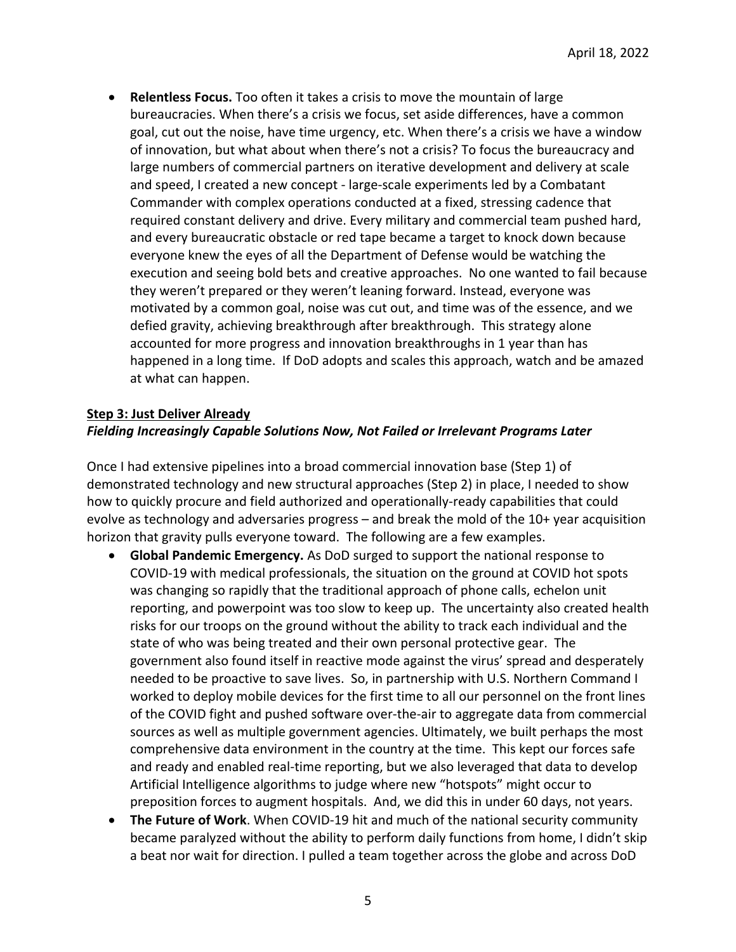• **Relentless Focus.** Too often it takes a crisis to move the mountain of large bureaucracies. When there's a crisis we focus, set aside differences, have a common goal, cut out the noise, have time urgency, etc. When there's a crisis we have a window of innovation, but what about when there's not a crisis? To focus the bureaucracy and large numbers of commercial partners on iterative development and delivery at scale and speed, I created a new concept - large-scale experiments led by a Combatant Commander with complex operations conducted at a fixed, stressing cadence that required constant delivery and drive. Every military and commercial team pushed hard, and every bureaucratic obstacle or red tape became a target to knock down because everyone knew the eyes of all the Department of Defense would be watching the execution and seeing bold bets and creative approaches. No one wanted to fail because they weren't prepared or they weren't leaning forward. Instead, everyone was motivated by a common goal, noise was cut out, and time was of the essence, and we defied gravity, achieving breakthrough after breakthrough. This strategy alone accounted for more progress and innovation breakthroughs in 1 year than has happened in a long time. If DoD adopts and scales this approach, watch and be amazed at what can happen.

## **Step 3: Just Deliver Already** *Fielding Increasingly Capable Solutions Now, Not Failed or Irrelevant Programs Later*

Once I had extensive pipelines into a broad commercial innovation base (Step 1) of demonstrated technology and new structural approaches (Step 2) in place, I needed to show how to quickly procure and field authorized and operationally-ready capabilities that could evolve as technology and adversaries progress – and break the mold of the 10+ year acquisition horizon that gravity pulls everyone toward. The following are a few examples.

- **Global Pandemic Emergency.** As DoD surged to support the national response to COVID-19 with medical professionals, the situation on the ground at COVID hot spots was changing so rapidly that the traditional approach of phone calls, echelon unit reporting, and powerpoint was too slow to keep up. The uncertainty also created health risks for our troops on the ground without the ability to track each individual and the state of who was being treated and their own personal protective gear. The government also found itself in reactive mode against the virus' spread and desperately needed to be proactive to save lives. So, in partnership with U.S. Northern Command I worked to deploy mobile devices for the first time to all our personnel on the front lines of the COVID fight and pushed software over-the-air to aggregate data from commercial sources as well as multiple government agencies. Ultimately, we built perhaps the most comprehensive data environment in the country at the time. This kept our forces safe and ready and enabled real-time reporting, but we also leveraged that data to develop Artificial Intelligence algorithms to judge where new "hotspots" might occur to preposition forces to augment hospitals. And, we did this in under 60 days, not years.
- **The Future of Work**. When COVID-19 hit and much of the national security community became paralyzed without the ability to perform daily functions from home, I didn't skip a beat nor wait for direction. I pulled a team together across the globe and across DoD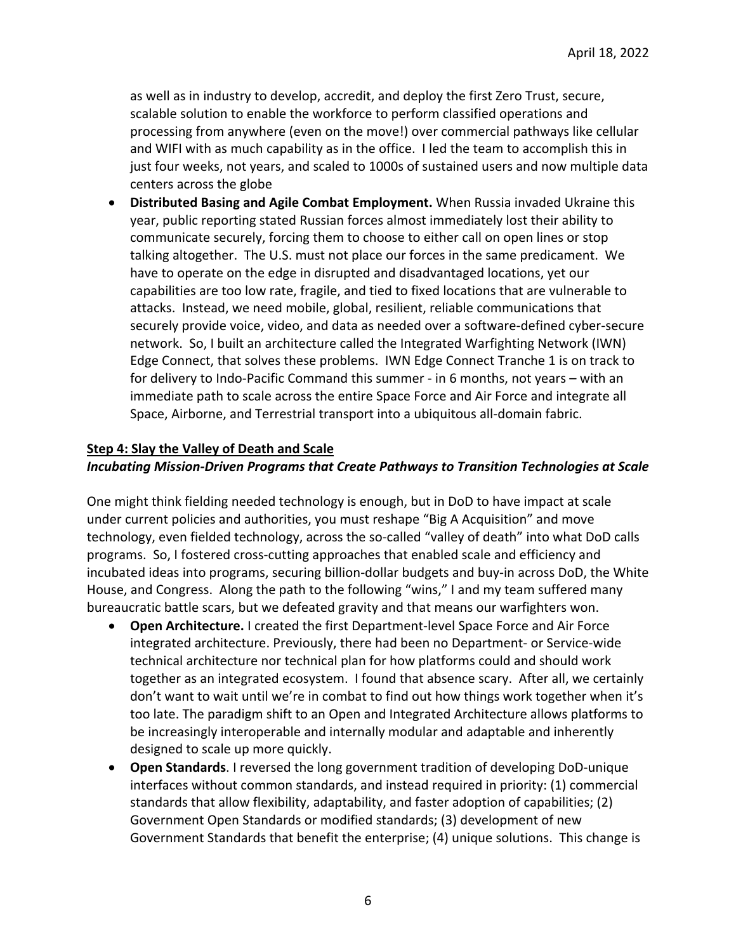as well as in industry to develop, accredit, and deploy the first Zero Trust, secure, scalable solution to enable the workforce to perform classified operations and processing from anywhere (even on the move!) over commercial pathways like cellular and WIFI with as much capability as in the office. I led the team to accomplish this in just four weeks, not years, and scaled to 1000s of sustained users and now multiple data centers across the globe

• **Distributed Basing and Agile Combat Employment.** When Russia invaded Ukraine this year, public reporting stated Russian forces almost immediately lost their ability to communicate securely, forcing them to choose to either call on open lines or stop talking altogether. The U.S. must not place our forces in the same predicament. We have to operate on the edge in disrupted and disadvantaged locations, yet our capabilities are too low rate, fragile, and tied to fixed locations that are vulnerable to attacks. Instead, we need mobile, global, resilient, reliable communications that securely provide voice, video, and data as needed over a software-defined cyber-secure network. So, I built an architecture called the Integrated Warfighting Network (IWN) Edge Connect, that solves these problems. IWN Edge Connect Tranche 1 is on track to for delivery to Indo-Pacific Command this summer - in 6 months, not years – with an immediate path to scale across the entire Space Force and Air Force and integrate all Space, Airborne, and Terrestrial transport into a ubiquitous all-domain fabric.

### **Step 4: Slay the Valley of Death and Scale**

### *Incubating Mission-Driven Programs that Create Pathways to Transition Technologies at Scale*

One might think fielding needed technology is enough, but in DoD to have impact at scale under current policies and authorities, you must reshape "Big A Acquisition" and move technology, even fielded technology, across the so-called "valley of death" into what DoD calls programs. So, I fostered cross-cutting approaches that enabled scale and efficiency and incubated ideas into programs, securing billion-dollar budgets and buy-in across DoD, the White House, and Congress. Along the path to the following "wins," I and my team suffered many bureaucratic battle scars, but we defeated gravity and that means our warfighters won.

- **Open Architecture.** I created the first Department-level Space Force and Air Force integrated architecture. Previously, there had been no Department- or Service-wide technical architecture nor technical plan for how platforms could and should work together as an integrated ecosystem. I found that absence scary. After all, we certainly don't want to wait until we're in combat to find out how things work together when it's too late. The paradigm shift to an Open and Integrated Architecture allows platforms to be increasingly interoperable and internally modular and adaptable and inherently designed to scale up more quickly.
- **Open Standards**. I reversed the long government tradition of developing DoD-unique interfaces without common standards, and instead required in priority: (1) commercial standards that allow flexibility, adaptability, and faster adoption of capabilities; (2) Government Open Standards or modified standards; (3) development of new Government Standards that benefit the enterprise; (4) unique solutions. This change is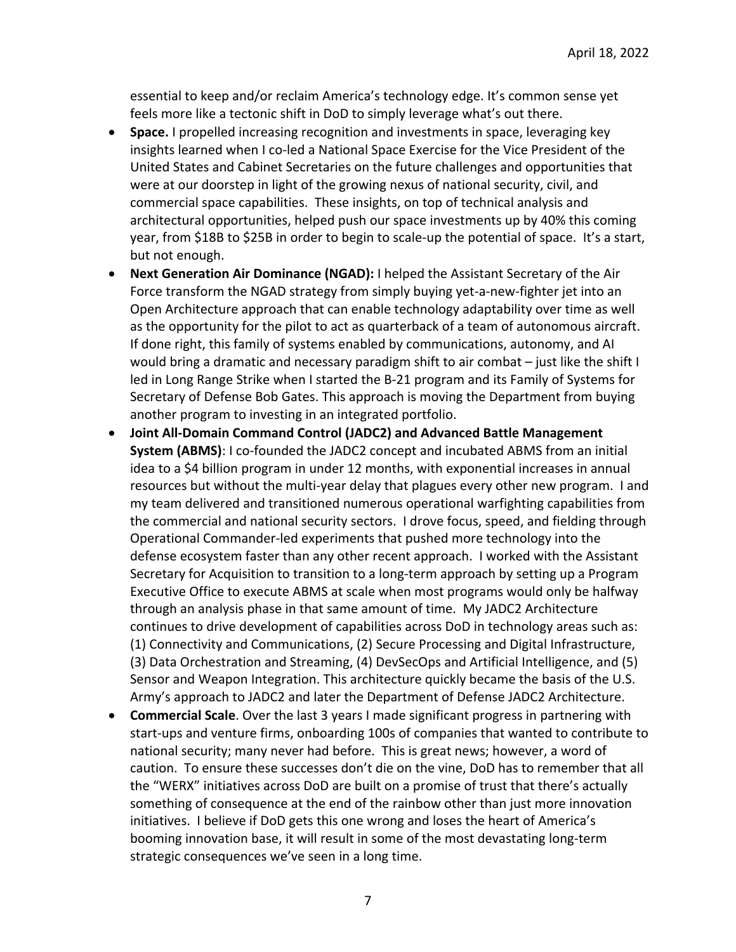essential to keep and/or reclaim America's technology edge. It's common sense yet feels more like a tectonic shift in DoD to simply leverage what's out there.

- **Space.** I propelled increasing recognition and investments in space, leveraging key insights learned when I co-led a National Space Exercise for the Vice President of the United States and Cabinet Secretaries on the future challenges and opportunities that were at our doorstep in light of the growing nexus of national security, civil, and commercial space capabilities. These insights, on top of technical analysis and architectural opportunities, helped push our space investments up by 40% this coming year, from \$18B to \$25B in order to begin to scale-up the potential of space. It's a start, but not enough.
- **Next Generation Air Dominance (NGAD):** I helped the Assistant Secretary of the Air Force transform the NGAD strategy from simply buying yet-a-new-fighter jet into an Open Architecture approach that can enable technology adaptability over time as well as the opportunity for the pilot to act as quarterback of a team of autonomous aircraft. If done right, this family of systems enabled by communications, autonomy, and AI would bring a dramatic and necessary paradigm shift to air combat – just like the shift I led in Long Range Strike when I started the B-21 program and its Family of Systems for Secretary of Defense Bob Gates. This approach is moving the Department from buying another program to investing in an integrated portfolio.
- **Joint All-Domain Command Control (JADC2) and Advanced Battle Management System (ABMS)**: I co-founded the JADC2 concept and incubated ABMS from an initial idea to a \$4 billion program in under 12 months, with exponential increases in annual resources but without the multi-year delay that plagues every other new program. I and my team delivered and transitioned numerous operational warfighting capabilities from the commercial and national security sectors. I drove focus, speed, and fielding through Operational Commander-led experiments that pushed more technology into the defense ecosystem faster than any other recent approach. I worked with the Assistant Secretary for Acquisition to transition to a long-term approach by setting up a Program Executive Office to execute ABMS at scale when most programs would only be halfway through an analysis phase in that same amount of time. My JADC2 Architecture continues to drive development of capabilities across DoD in technology areas such as: (1) Connectivity and Communications, (2) Secure Processing and Digital Infrastructure, (3) Data Orchestration and Streaming, (4) DevSecOps and Artificial Intelligence, and (5) Sensor and Weapon Integration. This architecture quickly became the basis of the U.S. Army's approach to JADC2 and later the Department of Defense JADC2 Architecture.
- **Commercial Scale**. Over the last 3 years I made significant progress in partnering with start-ups and venture firms, onboarding 100s of companies that wanted to contribute to national security; many never had before. This is great news; however, a word of caution. To ensure these successes don't die on the vine, DoD has to remember that all the "WERX" initiatives across DoD are built on a promise of trust that there's actually something of consequence at the end of the rainbow other than just more innovation initiatives. I believe if DoD gets this one wrong and loses the heart of America's booming innovation base, it will result in some of the most devastating long-term strategic consequences we've seen in a long time.